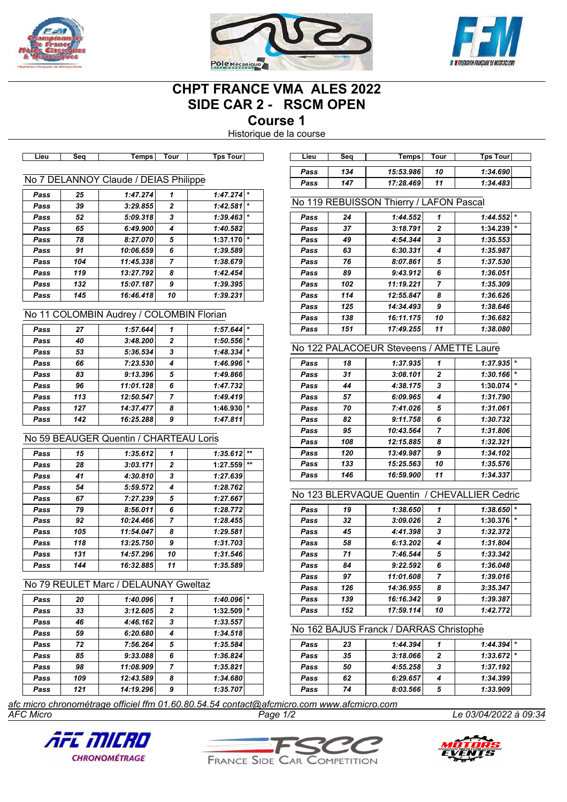





# **CHPT FRANCE VMA ALES 2022 SIDE CAR 2 - RSCM OPEN**

**Course 1**

Historique de la course

| Lieu | Sea | <b>Temps</b>                          | Tour           | <b>Tps Tour</b> | Lieu | Seq        | <b>Temps</b>                            | Tour     | <b>Tps Tour</b> |
|------|-----|---------------------------------------|----------------|-----------------|------|------------|-----------------------------------------|----------|-----------------|
|      |     |                                       |                |                 | Pass | 134        | 15:53.986                               | 10       | 1:34.690        |
|      |     | No 7 DELANNOY Claude / DEIAS Philippe |                |                 | Pass | 147        | 17:28.469                               | 11       | 1:34.483        |
| Pass | 25  | 1:47.274                              |                | $1:47.274$ *    |      |            |                                         |          |                 |
| Pass | 39  | 3:29.855                              | $\overline{2}$ | $1:42.581$ *    |      |            | No 119 REBUISSON Thierry / LAFON Pascal |          |                 |
| Pass | 52  | 5:09.318                              | 3              | $1:39.463$ *    | Pass | 24         | 1:44.552                                | 1        | 1:44.552        |
| Pass | 65  | 6:49.900                              | 4              | 1:40.582        | Pass | 37         | 3:18.791                                | 2        | 1:34.239        |
| Pass | 78  | 8:27.070                              | 5              | $1:37.170$ *    | Pass | 49         | 4:54.344                                | 3        | 1:35.553        |
| Pass | 91  | 10:06.659                             | 6              | 1:39.589        | Pass | 63         | 6:30.331                                | 4        | 1:35.987        |
| Pass | 104 | 11:45.338                             |                | 1:38.679        | Pass | 76         | 8:07.861                                | 5        | 1:37.530        |
| Pass | 119 | 13:27.792                             | 8              | 1:42.454        | Pass | 89         | 9:43.912                                | 6        | 1:36.051        |
| Pass | 132 | 15:07.187                             | 9              | 1:39.395        | Pass | 102        | 11:19.221                               | 7        | 1:35.309        |
| Pass | 145 | 16:46.418                             | 10             | 1:39.231        | Pass | 114        | 12:55.847                               | 8        | 1:36.626        |
|      |     |                                       |                |                 | Docc | <b>495</b> | 11.21.02                                | $\Omega$ | 1.2966          |

# No 11 COLOMBIN Audrey / COLOMBIN Florian

| Pass | 27  | 1:57.644  |                | 1:57.644 |         |
|------|-----|-----------|----------------|----------|---------|
| Pass | 40  | 3:48.200  | $\overline{2}$ | 1:50.556 |         |
| Pass | 53  | 5:36.534  | 3              | 1:48.334 |         |
| Pass | 66  | 7:23.530  |                | 1:46.996 |         |
| Pass | 83  | 9:13.396  | 5              | 1:49.866 |         |
| Pass | 96  | 11:01.128 | 6              | 1:47.732 |         |
| Pass | 113 | 12:50.547 |                | 1:49.419 |         |
| Pass | 127 | 14:37.477 | 8              | 1:46.930 | $\star$ |
| Pass | 142 | 16:25.288 | 9              | 1:47.811 |         |
|      |     |           |                |          |         |

# No 59 BEAUGER Quentin / CHARTEAU Loris

| Pass | 15  | 1:35.612  | 1              | 1:35.612 | $**$  |
|------|-----|-----------|----------------|----------|-------|
| Pass | 28  | 3:03.171  | $\overline{2}$ | 1:27.559 | $***$ |
| Pass | 41  | 4:30.810  | 3              | 1:27.639 |       |
| Pass | 54  | 5:59.572  | 4              | 1:28.762 |       |
| Pass | 67  | 7:27.239  | 5              | 1:27.667 |       |
| Pass | 79  | 8:56.011  | 6              | 1:28.772 |       |
| Pass | 92  | 10:24.466 | $\overline{ }$ | 1:28.455 |       |
| Pass | 105 | 11:54.047 | 8              | 1:29.581 |       |
| Pass | 118 | 13:25.750 | 9              | 1:31.703 |       |
| Pass | 131 | 14:57.296 | 10             | 1:31.546 |       |
| Pass | 144 | 16:32.885 | 11             | 1:35.589 |       |

# No 79 REULET Marc / DELAUNAY Gweltaz

| Pass | 20  | 1:40.096  |                | 1:40.096 |  |
|------|-----|-----------|----------------|----------|--|
| Pass | 33  | 3:12.605  | $\overline{2}$ | 1:32.509 |  |
| Pass | 46  | 4:46.162  | 3              | 1:33.557 |  |
| Pass | 59  | 6:20.680  |                | 1:34.518 |  |
| Pass | 72  | 7:56.264  | 5              | 1:35.584 |  |
| Pass | 85  | 9:33.088  | 6              | 1:36.824 |  |
| Pass | 98  | 11:08.909 | 7              | 1:35.821 |  |
| Pass | 109 | 12:43.589 | 8              | 1:34.680 |  |
| Pass | 121 | 14:19.296 | 9              | 1:35.707 |  |

| Lieu | Sea | Temps     | Tour | <b>Tps Tourl</b> |
|------|-----|-----------|------|------------------|
| Pass | 134 | 15:53.986 | 10   | 1:34.690         |
| Pass | 147 | 17:28.469 | 11   | 1:34.483         |

## No 119 REBUISSON Thierry / LAFON Pascal

| Pass | 24  | 1:44.552  | 1              | 1:44.552 |         |
|------|-----|-----------|----------------|----------|---------|
| Pass | 37  | 3:18.791  | $\overline{2}$ | 1:34.239 | $\star$ |
| Pass | 49  | 4:54.344  | 3              | 1:35.553 |         |
| Pass | 63  | 6:30.331  | 4              | 1:35.987 |         |
| Pass | 76  | 8:07.861  | 5              | 1:37.530 |         |
| Pass | 89  | 9:43.912  | 6              | 1:36.051 |         |
| Pass | 102 | 11:19.221 | $\overline{ }$ | 1:35.309 |         |
| Pass | 114 | 12:55.847 | 8              | 1:36.626 |         |
| Pass | 125 | 14:34.493 | 9              | 1:38.646 |         |
| Pass | 138 | 16:11.175 | 10             | 1:36.682 |         |
| Pass | 151 | 17:49.255 | 11             | 1:38.080 |         |

# No 122 PALACOEUR Steveens / AMETTE Laure

| Pass | 18  | 1:37.935  | 1              | 1:37.935 |         |
|------|-----|-----------|----------------|----------|---------|
| Pass | 31  | 3:08.101  | $\overline{2}$ | 1:30.166 | $\ast$  |
| Pass | 44  | 4:38.175  | 3              | 1:30.074 | $\star$ |
| Pass | 57  | 6:09.965  | 4              | 1:31.790 |         |
| Pass | 70  | 7:41.026  | 5              | 1:31.061 |         |
| Pass | 82  | 9:11.758  | 6              | 1:30.732 |         |
| Pass | 95  | 10:43.564 | $\overline{7}$ | 1:31.806 |         |
| Pass | 108 | 12:15.885 | 8              | 1:32.321 |         |
| Pass | 120 | 13:49.987 | 9              | 1:34.102 |         |
| Pass | 133 | 15:25.563 | 10             | 1:35.576 |         |
| Pass | 146 | 16:59.900 | 11             | 1:34.337 |         |
|      |     |           |                |          |         |

### No 123 BLERVAQUE Quentin / CHEVALLIER Cedric

| Pass | 19  | 1:38.650  | 1              | 1:38.650            |  |
|------|-----|-----------|----------------|---------------------|--|
| Pass | 32  | 3:09.026  | $\overline{2}$ | $\star$<br>1:30.376 |  |
| Pass | 45  | 4:41.398  | 3              | 1:32.372            |  |
| Pass | 58  | 6:13.202  | 4              | 1:31.804            |  |
| Pass | 71  | 7:46.544  | 5              | 1:33.342            |  |
| Pass | 84  | 9:22.592  | 6              | 1:36.048            |  |
| Pass | 97  | 11:01.608 | 7              | 1:39.016            |  |
| Pass | 126 | 14:36.955 | 8              | 3:35.347            |  |
| Pass | 139 | 16:16.342 | 9              | 1:39.387            |  |
| Pass | 152 | 17:59.114 | 10             | 1:42.772            |  |

## No 162 BAJUS Franck / DARRAS Christophe

| Pass | 23 | 1:44.394 |   | $1:44.394$ * |  |
|------|----|----------|---|--------------|--|
| Pass | 35 | 3:18.066 | 2 | $1:33.672$ * |  |
| Pass | 50 | 4:55.258 | 3 | 1:37.192     |  |
| Pass | 62 | 6:29.657 | 4 | 1:34.399     |  |
| Pass | 74 | 8:03.566 | 5 | 1:33.909     |  |

*AFC Micro Page 1/2 Le 03/04/2022 à 09:34 afc micro chronométrage officiel ffm 01.60.80.54.54 contact@afcmicro.com www.afcmicro.com*